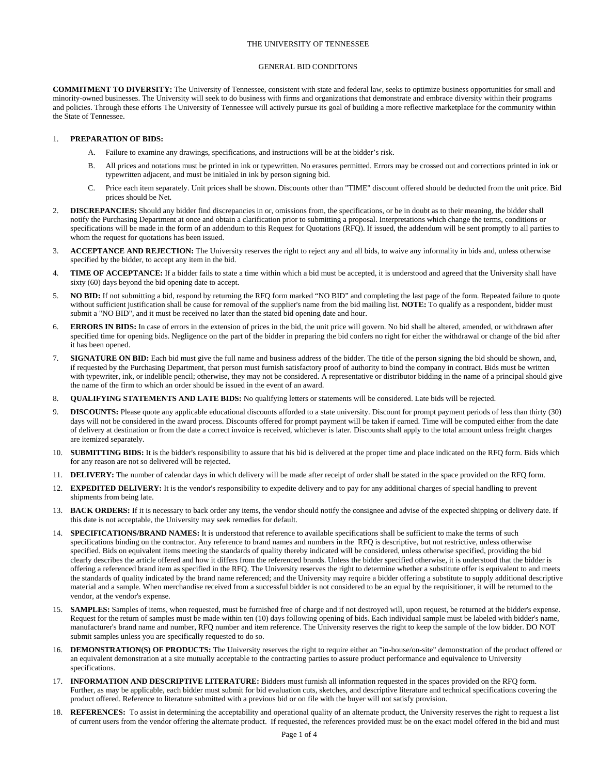### THE UNIVERSITY OF TENNESSEE

#### GENERAL BID CONDITONS

**COMMITMENT TO DIVERSITY:** The University of Tennessee, consistent with state and federal law, seeks to optimize business opportunities for small and minority-owned businesses. The University will seek to do business with firms and organizations that demonstrate and embrace diversity within their programs and policies. Through these efforts The University of Tennessee will actively pursue its goal of building a more reflective marketplace for the community within the State of Tennessee.

### 1. **PREPARATION OF BIDS:**

- A. Failure to examine any drawings, specifications, and instructions will be at the bidder's risk.
- B. All prices and notations must be printed in ink or typewritten. No erasures permitted. Errors may be crossed out and corrections printed in ink or typewritten adjacent, and must be initialed in ink by person signing bid.
- C. Price each item separately. Unit prices shall be shown. Discounts other than "TIME" discount offered should be deducted from the unit price. Bid prices should be Net.
- 2. **DISCREPANCIES:** Should any bidder find discrepancies in or, omissions from, the specifications, or be in doubt as to their meaning, the bidder shall notify the Purchasing Department at once and obtain a clarification prior to submitting a proposal. Interpretations which change the terms, conditions or specifications will be made in the form of an addendum to this Request for Quotations (RFQ). If issued, the addendum will be sent promptly to all parties to whom the request for quotations has been issued.
- 3. **ACCEPTANCE AND REJECTION:** The University reserves the right to reject any and all bids, to waive any informality in bids and, unless otherwise specified by the bidder, to accept any item in the bid.
- TIME OF ACCEPTANCE: If a bidder fails to state a time within which a bid must be accepted, it is understood and agreed that the University shall have sixty (60) days beyond the bid opening date to accept.
- 5. **NO BID:** If not submitting a bid, respond by returning the RFQ form marked "NO BID" and completing the last page of the form. Repeated failure to quote without sufficient justification shall be cause for removal of the supplier's name from the bid mailing list. **NOTE:** To qualify as a respondent, bidder must submit a "NO BID", and it must be received no later than the stated bid opening date and hour.
- ERRORS IN BIDS: In case of errors in the extension of prices in the bid, the unit price will govern. No bid shall be altered, amended, or withdrawn after specified time for opening bids. Negligence on the part of the bidder in preparing the bid confers no right for either the withdrawal or change of the bid after it has been opened.
- 7. **SIGNATURE ON BID:** Each bid must give the full name and business address of the bidder. The title of the person signing the bid should be shown, and, if requested by the Purchasing Department, that person must furnish satisfactory proof of authority to bind the company in contract. Bids must be written with typewriter, ink, or indelible pencil; otherwise, they may not be considered. A representative or distributor bidding in the name of a principal should give the name of the firm to which an order should be issued in the event of an award.
- 8. **QUALIFYING STATEMENTS AND LATE BIDS:** No qualifying letters or statements will be considered. Late bids will be rejected.
- 9. **DISCOUNTS:** Please quote any applicable educational discounts afforded to a state university. Discount for prompt payment periods of less than thirty (30) days will not be considered in the award process. Discounts offered for prompt payment will be taken if earned. Time will be computed either from the date of delivery at destination or from the date a correct invoice is received, whichever is later. Discounts shall apply to the total amount unless freight charges are itemized separately.
- 10. **SUBMITTING BIDS:** It is the bidder's responsibility to assure that his bid is delivered at the proper time and place indicated on the RFQ form. Bids which for any reason are not so delivered will be rejected.
- 11. **DELIVERY:** The number of calendar days in which delivery will be made after receipt of order shall be stated in the space provided on the RFQ form.
- 12. **EXPEDITED DELIVERY:** It is the vendor's responsibility to expedite delivery and to pay for any additional charges of special handling to prevent shipments from being late.
- 13. **BACK ORDERS:** If it is necessary to back order any items, the vendor should notify the consignee and advise of the expected shipping or delivery date. If this date is not acceptable, the University may seek remedies for default.
- 14. **SPECIFICATIONS/BRAND NAMES:** It is understood that reference to available specifications shall be sufficient to make the terms of such specifications binding on the contractor. Any reference to brand names and numbers in the RFQ is descriptive, but not restrictive, unless otherwise specified. Bids on equivalent items meeting the standards of quality thereby indicated will be considered, unless otherwise specified, providing the bid clearly describes the article offered and how it differs from the referenced brands. Unless the bidder specified otherwise, it is understood that the bidder is offering a referenced brand item as specified in the RFQ. The University reserves the right to determine whether a substitute offer is equivalent to and meets the standards of quality indicated by the brand name referenced; and the University may require a bidder offering a substitute to supply additional descriptive material and a sample. When merchandise received from a successful bidder is not considered to be an equal by the requisitioner, it will be returned to the vendor, at the vendor's expense.
- 15. **SAMPLES:** Samples of items, when requested, must be furnished free of charge and if not destroyed will, upon request, be returned at the bidder's expense. Request for the return of samples must be made within ten (10) days following opening of bids. Each individual sample must be labeled with bidder's name, manufacturer's brand name and number, RFQ number and item reference. The University reserves the right to keep the sample of the low bidder. DO NOT submit samples unless you are specifically requested to do so.
- 16. **DEMONSTRATION(S) OF PRODUCTS:** The University reserves the right to require either an "in-house/on-site" demonstration of the product offered or an equivalent demonstration at a site mutually acceptable to the contracting parties to assure product performance and equivalence to University specifications.
- 17. **INFORMATION AND DESCRIPTIVE LITERATURE:** Bidders must furnish all information requested in the spaces provided on the RFQ form. Further, as may be applicable, each bidder must submit for bid evaluation cuts, sketches, and descriptive literature and technical specifications covering the product offered. Reference to literature submitted with a previous bid or on file with the buyer will not satisfy provision.
- 18. REFERENCES: To assist in determining the acceptability and operational quality of an alternate product, the University reserves the right to request a list of current users from the vendor offering the alternate product. If requested, the references provided must be on the exact model offered in the bid and must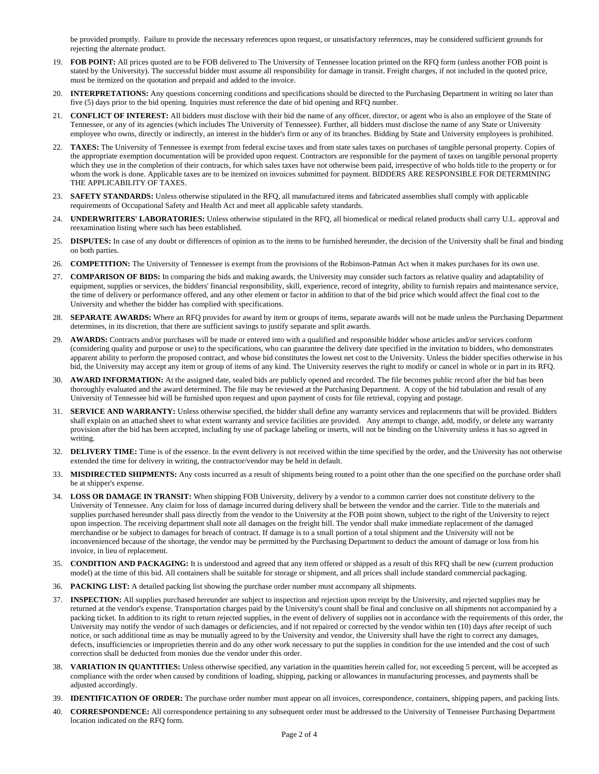be provided promptly. Failure to provide the necessary references upon request, or unsatisfactory references, may be considered sufficient grounds for rejecting the alternate product.

- 19. **FOB POINT:** All prices quoted are to be FOB delivered to The University of Tennessee location printed on the RFQ form (unless another FOB point is stated by the University). The successful bidder must assume all responsibility for damage in transit. Freight charges, if not included in the quoted price, must be itemized on the quotation and prepaid and added to the invoice.
- 20. **INTERPRETATIONS:** Any questions concerning conditions and specifications should be directed to the Purchasing Department in writing no later than five (5) days prior to the bid opening. Inquiries must reference the date of bid opening and RFQ number.
- 21. **CONFLICT OF INTEREST:** All bidders must disclose with their bid the name of any officer, director, or agent who is also an employee of the State of Tennessee, or any of its agencies (which includes The University of Tennessee). Further, all bidders must disclose the name of any State or University employee who owns, directly or indirectly, an interest in the bidder's firm or any of its branches. Bidding by State and University employees is prohibited.
- 22. **TAXES:** The University of Tennessee is exempt from federal excise taxes and from state sales taxes on purchases of tangible personal property. Copies of the appropriate exemption documentation will be provided upon request. Contractors are responsible for the payment of taxes on tangible personal property which they use in the completion of their contracts, for which sales taxes have not otherwise been paid, irrespective of who holds title to the property or for whom the work is done. Applicable taxes are to be itemized on invoices submitted for payment. BIDDERS ARE RESPONSIBLE FOR DETERMINING THE APPLICABILITY OF TAXES.
- 23. **SAFETY STANDARDS:** Unless otherwise stipulated in the RFQ, all manufactured items and fabricated assemblies shall comply with applicable requirements of Occupational Safety and Health Act and meet all applicable safety standards.
- 24. **UNDERWRITERS' LABORATORIES:** Unless otherwise stipulated in the RFQ, all biomedical or medical related products shall carry U.L. approval and reexamination listing where such has been established.
- 25. **DISPUTES:** In case of any doubt or differences of opinion as to the items to be furnished hereunder, the decision of the University shall be final and binding on both parties.
- 26. **COMPETITION:** The University of Tennessee is exempt from the provisions of the Robinson-Patman Act when it makes purchases for its own use.
- 27. **COMPARISON OF BIDS:** In comparing the bids and making awards, the University may consider such factors as relative quality and adaptability of equipment, supplies or services, the bidders' financial responsibility, skill, experience, record of integrity, ability to furnish repairs and maintenance service, the time of delivery or performance offered, and any other element or factor in addition to that of the bid price which would affect the final cost to the University and whether the bidder has complied with specifications.
- 28. **SEPARATE AWARDS:** Where an RFQ provides for award by item or groups of items, separate awards will not be made unless the Purchasing Department determines, in its discretion, that there are sufficient savings to justify separate and split awards.
- 29. **AWARDS:** Contracts and/or purchases will be made or entered into with a qualified and responsible bidder whose articles and/or services conform (considering quality and purpose or use) to the specifications, who can guarantee the delivery date specified in the invitation to bidders, who demonstrates apparent ability to perform the proposed contract, and whose bid constitutes the lowest net cost to the University. Unless the bidder specifies otherwise in his bid, the University may accept any item or group of items of any kind. The University reserves the right to modify or cancel in whole or in part in its RFQ.
- 30. **AWARD INFORMATION:** At the assigned date, sealed bids are publicly opened and recorded. The file becomes public record after the bid has been thoroughly evaluated and the award determined. The file may be reviewed at the Purchasing Department. A copy of the bid tabulation and result of any University of Tennessee bid will be furnished upon request and upon payment of costs for file retrieval, copying and postage.
- 31. **SERVICE AND WARRANTY:** Unless otherwise specified, the bidder shall define any warranty services and replacements that will be provided. Bidders shall explain on an attached sheet to what extent warranty and service facilities are provided. Any attempt to change, add, modify, or delete any warranty provision after the bid has been accepted, including by use of package labeling or inserts, will not be binding on the University unless it has so agreed in writing.
- 32. **DELIVERY TIME:** Time is of the essence. In the event delivery is not received within the time specified by the order, and the University has not otherwise extended the time for delivery in writing, the contractor/vendor may be held in default.
- 33. **MISDIRECTED SHIPMENTS:** Any costs incurred as a result of shipments being routed to a point other than the one specified on the purchase order shall be at shipper's expense.
- 34. **LOSS OR DAMAGE IN TRANSIT:** When shipping FOB University, delivery by a vendor to a common carrier does not constitute delivery to the University of Tennessee. Any claim for loss of damage incurred during delivery shall be between the vendor and the carrier. Title to the materials and supplies purchased hereunder shall pass directly from the vendor to the University at the FOB point shown, subject to the right of the University to reject upon inspection. The receiving department shall note all damages on the freight bill. The vendor shall make immediate replacement of the damaged merchandise or be subject to damages for breach of contract. If damage is to a small portion of a total shipment and the University will not be inconvenienced because of the shortage, the vendor may be permitted by the Purchasing Department to deduct the amount of damage or loss from his invoice, in lieu of replacement.
- 35. **CONDITION AND PACKAGING:** It is understood and agreed that any item offered or shipped as a result of this RFQ shall be new (current production model) at the time of this bid. All containers shall be suitable for storage or shipment, and all prices shall include standard commercial packaging.
- 36. **PACKING LIST:** A detailed packing list showing the purchase order number must accompany all shipments.
- 37. **INSPECTION:** All supplies purchased hereunder are subject to inspection and rejection upon receipt by the University, and rejected supplies may be returned at the vendor's expense. Transportation charges paid by the University's count shall be final and conclusive on all shipments not accompanied by a packing ticket. In addition to its right to return rejected supplies, in the event of delivery of supplies not in accordance with the requirements of this order, the University may notify the vendor of such damages or deficiencies, and if not repaired or corrected by the vendor within ten (10) days after receipt of such notice, or such additional time as may be mutually agreed to by the University and vendor, the University shall have the right to correct any damages, defects, insufficiencies or improprieties therein and do any other work necessary to put the supplies in condition for the use intended and the cost of such correction shall be deducted from monies due the vendor under this order.
- 38. **VARIATION IN QUANTITIES:** Unless otherwise specified, any variation in the quantities herein called for, not exceeding 5 percent, will be accepted as compliance with the order when caused by conditions of loading, shipping, packing or allowances in manufacturing processes, and payments shall be adjusted accordingly.
- 39. **IDENTIFICATION OF ORDER:** The purchase order number must appear on all invoices, correspondence, containers, shipping papers, and packing lists.
- 40. **CORRESPONDENCE:** All correspondence pertaining to any subsequent order must be addressed to the University of Tennessee Purchasing Department location indicated on the RFQ form.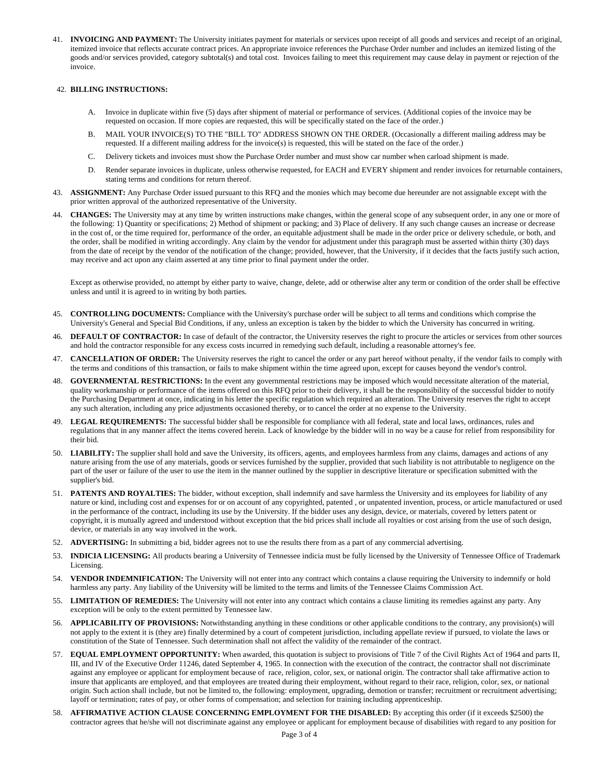41. **INVOICING AND PAYMENT:** The University initiates payment for materials or services upon receipt of all goods and services and receipt of an original, itemized invoice that reflects accurate contract prices. An appropriate invoice references the Purchase Order number and includes an itemized listing of the goods and/or services provided, category subtotal(s) and total cost. Invoices failing to meet this requirement may cause delay in payment or rejection of the invoice.

# 42. **BILLING INSTRUCTIONS:**

- A. Invoice in duplicate within five (5) days after shipment of material or performance of services. (Additional copies of the invoice may be requested on occasion. If more copies are requested, this will be specifically stated on the face of the order.)
- B. MAIL YOUR INVOICE(S) TO THE "BILL TO" ADDRESS SHOWN ON THE ORDER. (Occasionally a different mailing address may be requested. If a different mailing address for the invoice(s) is requested, this will be stated on the face of the order.)
- C. Delivery tickets and invoices must show the Purchase Order number and must show car number when carload shipment is made.
- D. Render separate invoices in duplicate, unless otherwise requested, for EACH and EVERY shipment and render invoices for returnable containers, stating terms and conditions for return thereof.
- 43. **ASSIGNMENT:** Any Purchase Order issued pursuant to this RFQ and the monies which may become due hereunder are not assignable except with the prior written approval of the authorized representative of the University.
- 44. **CHANGES:** The University may at any time by written instructions make changes, within the general scope of any subsequent order, in any one or more of the following: 1) Quantity or specifications; 2) Method of shipment or packing; and 3) Place of delivery. If any such change causes an increase or decrease in the cost of, or the time required for, performance of the order, an equitable adjustment shall be made in the order price or delivery schedule, or both, and the order, shall be modified in writing accordingly. Any claim by the vendor for adjustment under this paragraph must be asserted within thirty (30) days from the date of receipt by the vendor of the notification of the change; provided, however, that the University, if it decides that the facts justify such action, may receive and act upon any claim asserted at any time prior to final payment under the order.

Except as otherwise provided, no attempt by either party to waive, change, delete, add or otherwise alter any term or condition of the order shall be effective unless and until it is agreed to in writing by both parties.

- 45. **CONTROLLING DOCUMENTS:** Compliance with the University's purchase order will be subject to all terms and conditions which comprise the University's General and Special Bid Conditions, if any, unless an exception is taken by the bidder to which the University has concurred in writing.
- 46. **DEFAULT OF CONTRACTOR:** In case of default of the contractor, the University reserves the right to procure the articles or services from other sources and hold the contractor responsible for any excess costs incurred in remedying such default, including a reasonable attorney's fee.
- 47. **CANCELLATION OF ORDER:** The University reserves the right to cancel the order or any part hereof without penalty, if the vendor fails to comply with the terms and conditions of this transaction, or fails to make shipment within the time agreed upon, except for causes beyond the vendor's control.
- 48. **GOVERNMENTAL RESTRICTIONS:** In the event any governmental restrictions may be imposed which would necessitate alteration of the material, quality workmanship or performance of the items offered on this RFQ prior to their delivery, it shall be the responsibility of the successful bidder to notify the Purchasing Department at once, indicating in his letter the specific regulation which required an alteration. The University reserves the right to accept any such alteration, including any price adjustments occasioned thereby, or to cancel the order at no expense to the University.
- 49. **LEGAL REQUIREMENTS:** The successful bidder shall be responsible for compliance with all federal, state and local laws, ordinances, rules and regulations that in any manner affect the items covered herein. Lack of knowledge by the bidder will in no way be a cause for relief from responsibility for their bid.
- 50. **LIABILITY:** The supplier shall hold and save the University, its officers, agents, and employees harmless from any claims, damages and actions of any nature arising from the use of any materials, goods or services furnished by the supplier, provided that such liability is not attributable to negligence on the part of the user or failure of the user to use the item in the manner outlined by the supplier in descriptive literature or specification submitted with the supplier's bid.
- 51. **PATENTS AND ROYALTIES:** The bidder, without exception, shall indemnify and save harmless the University and its employees for liability of any nature or kind, including cost and expenses for or on account of any copyrighted, patented , or unpatented invention, process, or article manufactured or used in the performance of the contract, including its use by the University. If the bidder uses any design, device, or materials, covered by letters patent or copyright, it is mutually agreed and understood without exception that the bid prices shall include all royalties or cost arising from the use of such design, device, or materials in any way involved in the work.
- 52. **ADVERTISING:** In submitting a bid, bidder agrees not to use the results there from as a part of any commercial advertising.
- 53. **INDICIA LICENSING:** All products bearing a University of Tennessee indicia must be fully licensed by the University of Tennessee Office of Trademark Licensing.
- 54. **VENDOR INDEMNIFICATION:** The University will not enter into any contract which contains a clause requiring the University to indemnify or hold harmless any party. Any liability of the University will be limited to the terms and limits of the Tennessee Claims Commission Act.
- 55. **LIMITATION OF REMEDIES:** The University will not enter into any contract which contains a clause limiting its remedies against any party. Any exception will be only to the extent permitted by Tennessee law.
- 56. **APPLICABILITY OF PROVISIONS:** Notwithstanding anything in these conditions or other applicable conditions to the contrary, any provision(s) will not apply to the extent it is (they are) finally determined by a court of competent jurisdiction, including appellate review if pursued, to violate the laws or constitution of the State of Tennessee. Such determination shall not affect the validity of the remainder of the contract.
- 57. **EQUAL EMPLOYMENT OPPORTUNITY:** When awarded, this quotation is subject to provisions of Title 7 of the Civil Rights Act of 1964 and parts II, III, and IV of the Executive Order 11246, dated September 4, 1965. In connection with the execution of the contract, the contractor shall not discriminate against any employee or applicant for employment because of race, religion, color, sex, or national origin. The contractor shall take affirmative action to insure that applicants are employed, and that employees are treated during their employment, without regard to their race, religion, color, sex, or national origin. Such action shall include, but not be limited to, the following: employment, upgrading, demotion or transfer; recruitment or recruitment advertising; layoff or termination; rates of pay, or other forms of compensation; and selection for training including apprenticeship.
- 58. **AFFIRMATIVE ACTION CLAUSE CONCERNING EMPLOYMENT FOR THE DISABLED:** By accepting this order (if it exceeds \$2500) the contractor agrees that he/she will not discriminate against any employee or applicant for employment because of disabilities with regard to any position for